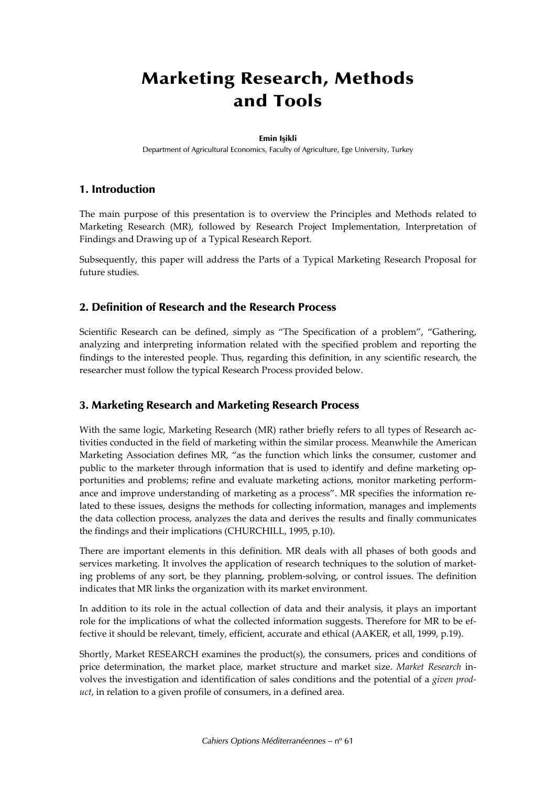# Marketing Research, Methods and Tools

#### Emin Işikli

Department of Agricultural Economics, Faculty of Agriculture, Ege University, Turkey

## 1. Introduction

The main purpose of this presentation is to overview the Principles and Methods related to Marketing Research (MR), followed by Research Project Implementation, Interpretation of Findings and Drawing up of a Typical Research Report.

Subsequently, this paper will address the Parts of a Typical Marketing Research Proposal for future studies.

## 2. Definition of Research and the Research Process

Scientific Research can be defined, simply as "The Specification of a problem", "Gathering, analyzing and interpreting information related with the specified problem and reporting the findings to the interested people. Thus, regarding this definition, in any scientific research, the researcher must follow the typical Research Process provided below.

## 3. Marketing Research and Marketing Research Process

With the same logic, Marketing Research (MR) rather briefly refers to all types of Research activities conducted in the field of marketing within the similar process. Meanwhile the American Marketing Association defines MR, "as the function which links the consumer, customer and public to the marketer through information that is used to identify and define marketing op‐ portunities and problems; refine and evaluate marketing actions, monitor marketing performance and improve understanding of marketing as a process". MR specifies the information related to these issues, designs the methods for collecting information, manages and implements the data collection process, analyzes the data and derives the results and finally communicates the findings and their implications (CHURCHILL, 1995, p.10).

There are important elements in this definition. MR deals with all phases of both goods and services marketing. It involves the application of research techniques to the solution of marketing problems of any sort, be they planning, problem‐solving, or control issues. The definition indicates that MR links the organization with its market environment.

In addition to its role in the actual collection of data and their analysis, it plays an important role for the implications of what the collected information suggests. Therefore for MR to be effective it should be relevant, timely, efficient, accurate and ethical (AAKER, et all, 1999, p.19).

Shortly, Market RESEARCH examines the product(s), the consumers, prices and conditions of price determination, the market place, market structure and market size. *Market Research* in‐ volves the investigation and identification of sales conditions and the potential of a *given prod‐ uct*, in relation to a given profile of consumers, in a defined area.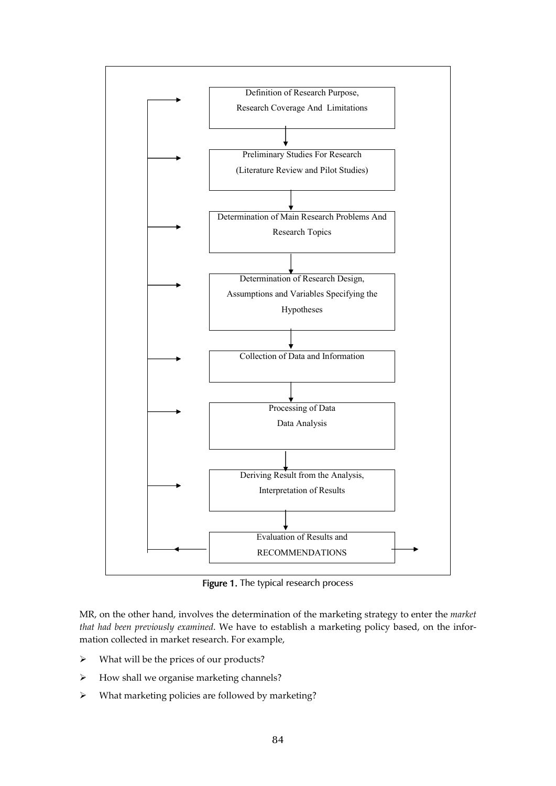

Figure 1. The typical research process

MR, on the other hand, involves the determination of the marketing strategy to enter the *market that had been previously examined*. We have to establish a marketing policy based, on the infor‐ mation collected in market research. For example,

- ¾ What will be the prices of our products?
- ¾ How shall we organise marketing channels?
- ¾ What marketing policies are followed by marketing?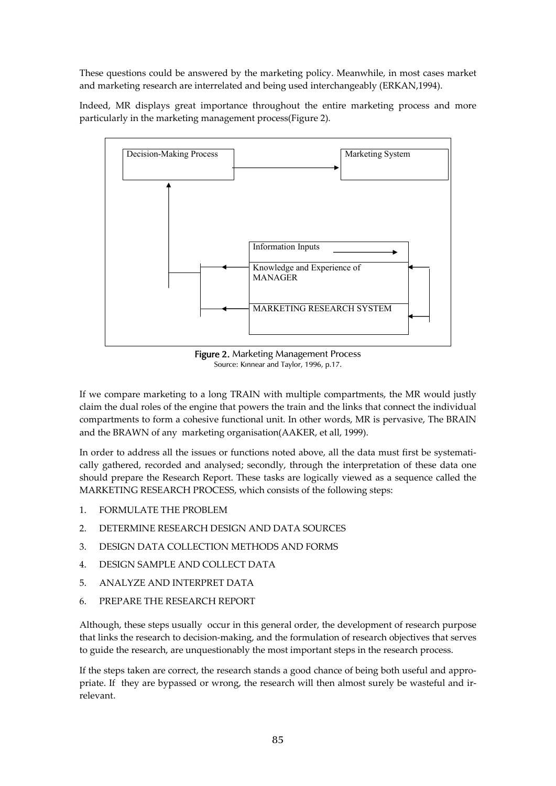These questions could be answered by the marketing policy. Meanwhile, in most cases market and marketing research are interrelated and being used interchangeably (ERKAN,1994).

Indeed, MR displays great importance throughout the entire marketing process and more particularly in the marketing management process(Figure 2).



Figure 2. Marketing Management Process Source: Kınnear and Taylor, 1996, p.17.

If we compare marketing to a long TRAIN with multiple compartments, the MR would justly claim the dual roles of the engine that powers the train and the links that connect the individual compartments to form a cohesive functional unit. In other words, MR is pervasive, The BRAIN and the BRAWN of any marketing organisation(AAKER, et all, 1999).

In order to address all the issues or functions noted above, all the data must first be systematically gathered, recorded and analysed; secondly, through the interpretation of these data one should prepare the Research Report. These tasks are logically viewed as a sequence called the MARKETING RESEARCH PROCESS, which consists of the following steps:

- 1. FORMULATE THE PROBLEM
- 2. DETERMINE RESEARCH DESIGN AND DATA SOURCES
- 3. DESIGN DATA COLLECTION METHODS AND FORMS
- 4. DESIGN SAMPLE AND COLLECT DATA
- 5. ANALYZE AND INTERPRET DATA
- 6. PREPARE THE RESEARCH REPORT

Although, these steps usually occur in this general order, the development of research purpose that links the research to decision‐making, and the formulation of research objectives that serves to guide the research, are unquestionably the most important steps in the research process.

If the steps taken are correct, the research stands a good chance of being both useful and appro‐ priate. If they are bypassed or wrong, the research will then almost surely be wasteful and irrelevant.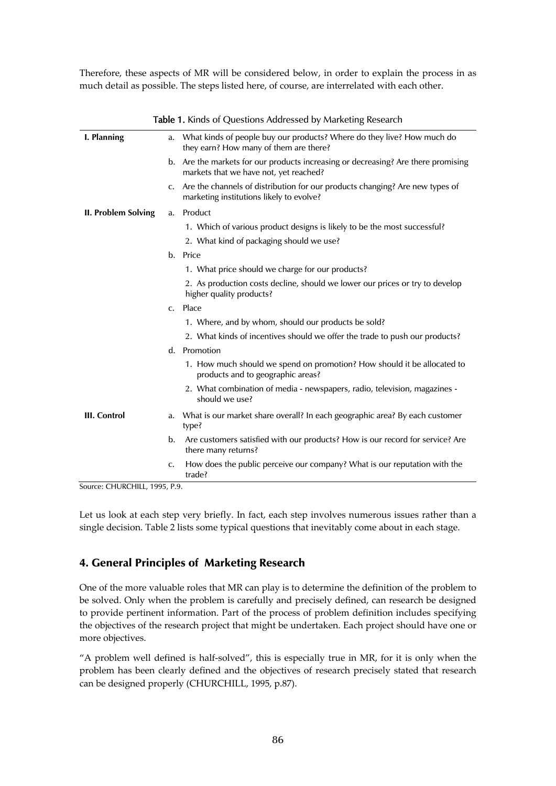Therefore, these aspects of MR will be considered below, in order to explain the process in as much detail as possible. The steps listed here, of course, are interrelated with each other.

| I. Planning                   | a.             | What kinds of people buy our products? Where do they live? How much do<br>they earn? How many of them are there?            |
|-------------------------------|----------------|-----------------------------------------------------------------------------------------------------------------------------|
|                               |                | b. Are the markets for our products increasing or decreasing? Are there promising<br>markets that we have not, yet reached? |
|                               |                | c. Are the channels of distribution for our products changing? Are new types of<br>marketing institutions likely to evolve? |
| <b>II. Problem Solving</b>    | a.             | Product                                                                                                                     |
|                               |                | 1. Which of various product designs is likely to be the most successful?                                                    |
|                               |                | 2. What kind of packaging should we use?                                                                                    |
|                               | $\mathbf{b}$ . | Price                                                                                                                       |
|                               |                | 1. What price should we charge for our products?                                                                            |
|                               |                | 2. As production costs decline, should we lower our prices or try to develop<br>higher quality products?                    |
|                               | $C_{\star}$    | Place                                                                                                                       |
|                               |                | 1. Where, and by whom, should our products be sold?                                                                         |
|                               |                | 2. What kinds of incentives should we offer the trade to push our products?                                                 |
|                               | d.             | Promotion                                                                                                                   |
|                               |                | 1. How much should we spend on promotion? How should it be allocated to<br>products and to geographic areas?                |
|                               |                | 2. What combination of media - newspapers, radio, television, magazines -<br>should we use?                                 |
| <b>III.</b> Control           | a.             | What is our market share overall? In each geographic area? By each customer<br>type?                                        |
|                               | b.             | Are customers satisfied with our products? How is our record for service? Are<br>there many returns?                        |
|                               | C.             | How does the public perceive our company? What is our reputation with the<br>trade?                                         |
| Source: CHURCHILL, 1995, P.9. |                |                                                                                                                             |

Table 1. Kinds of Questions Addressed by Marketing Research

Let us look at each step very briefly. In fact, each step involves numerous issues rather than a single decision. Table 2 lists some typical questions that inevitably come about in each stage.

## 4. General Principles of Marketing Research

One of the more valuable roles that MR can play is to determine the definition of the problem to be solved. Only when the problem is carefully and precisely defined, can research be designed to provide pertinent information. Part of the process of problem definition includes specifying the objectives of the research project that might be undertaken. Each project should have one or more objectives.

"A problem well defined is half‐solved", this is especially true in MR, for it is only when the problem has been clearly defined and the objectives of research precisely stated that research can be designed properly (CHURCHILL, 1995, p.87).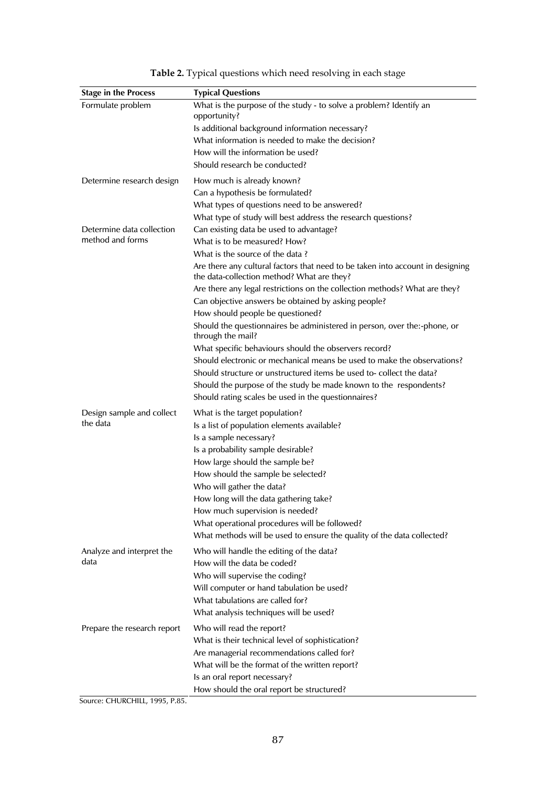| <b>Stage in the Process</b>                                   | <b>Typical Questions</b>                                                                                                                                                                                                                                                                                                                                                                                                                                    |
|---------------------------------------------------------------|-------------------------------------------------------------------------------------------------------------------------------------------------------------------------------------------------------------------------------------------------------------------------------------------------------------------------------------------------------------------------------------------------------------------------------------------------------------|
| Formulate problem                                             | What is the purpose of the study - to solve a problem? Identify an<br>opportunity?<br>Is additional background information necessary?<br>What information is needed to make the decision?<br>How will the information be used?                                                                                                                                                                                                                              |
| Determine research design                                     | Should research be conducted?<br>How much is already known?<br>Can a hypothesis be formulated?<br>What types of questions need to be answered?                                                                                                                                                                                                                                                                                                              |
| Determine data collection<br>method and forms                 | What type of study will best address the research questions?<br>Can existing data be used to advantage?<br>What is to be measured? How?<br>What is the source of the data?<br>Are there any cultural factors that need to be taken into account in designing                                                                                                                                                                                                |
|                                                               | the data-collection method? What are they?<br>Are there any legal restrictions on the collection methods? What are they?<br>Can objective answers be obtained by asking people?<br>How should people be questioned?<br>Should the questionnaires be administered in person, over the:-phone, or<br>through the mail?<br>What specific behaviours should the observers record?<br>Should electronic or mechanical means be used to make the observations?    |
|                                                               | Should structure or unstructured items be used to-collect the data?<br>Should the purpose of the study be made known to the respondents?<br>Should rating scales be used in the questionnaires?                                                                                                                                                                                                                                                             |
| Design sample and collect<br>the data                         | What is the target population?<br>Is a list of population elements available?<br>Is a sample necessary?<br>Is a probability sample desirable?<br>How large should the sample be?<br>How should the sample be selected?<br>Who will gather the data?<br>How long will the data gathering take?<br>How much supervision is needed?<br>What operational procedures will be followed?<br>What methods will be used to ensure the quality of the data collected? |
| Analyze and interpret the<br>data                             | Who will handle the editing of the data?<br>How will the data be coded?<br>Who will supervise the coding?<br>Will computer or hand tabulation be used?<br>What tabulations are called for?<br>What analysis techniques will be used?                                                                                                                                                                                                                        |
| Prepare the research report<br>Source: CHURCHILL, 1995, P.85. | Who will read the report?<br>What is their technical level of sophistication?<br>Are managerial recommendations called for?<br>What will be the format of the written report?<br>Is an oral report necessary?<br>How should the oral report be structured?                                                                                                                                                                                                  |

| Table 2. Typical questions which need resolving in each stage |  |  |
|---------------------------------------------------------------|--|--|
|                                                               |  |  |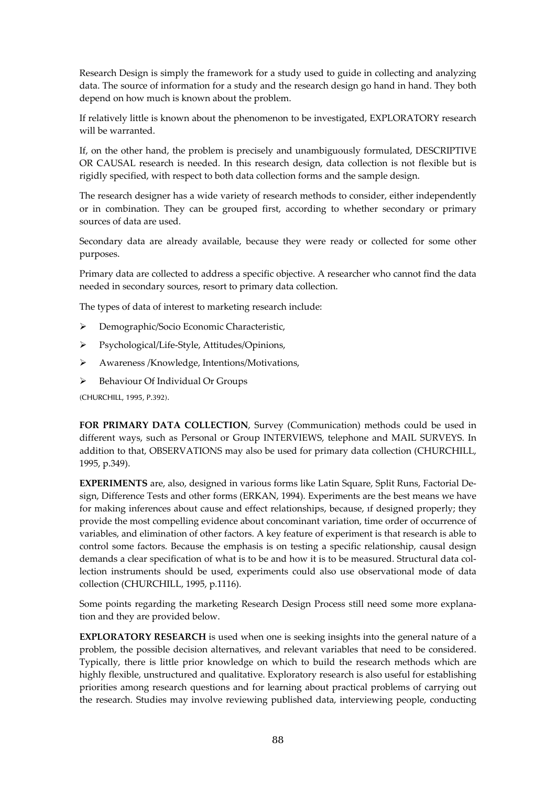Research Design is simply the framework for a study used to guide in collecting and analyzing data. The source of information for a study and the research design go hand in hand. They both depend on how much is known about the problem.

If relatively little is known about the phenomenon to be investigated, EXPLORATORY research will be warranted.

If, on the other hand, the problem is precisely and unambiguously formulated, DESCRIPTIVE OR CAUSAL research is needed. In this research design, data collection is not flexible but is rigidly specified, with respect to both data collection forms and the sample design.

The research designer has a wide variety of research methods to consider, either independently or in combination. They can be grouped first, according to whether secondary or primary sources of data are used.

Secondary data are already available, because they were ready or collected for some other purposes.

Primary data are collected to address a specific objective. A researcher who cannot find the data needed in secondary sources, resort to primary data collection.

The types of data of interest to marketing research include:

- ¾ Demographic/Socio Economic Characteristic,
- ¾ Psychological/Life‐Style, Attitudes/Opinions,
- ¾ Awareness /Knowledge, Intentions/Motivations,
- ¾ Behaviour Of Individual Or Groups

(CHURCHILL, 1995, P.392).

**FOR PRIMARY DATA COLLECTION**, Survey (Communication) methods could be used in different ways, such as Personal or Group INTERVIEWS, telephone and MAIL SURVEYS. In addition to that, OBSERVATIONS may also be used for primary data collection (CHURCHILL, 1995, p.349).

**EXPERIMENTS** are, also, designed in various forms like Latin Square, Split Runs, Factorial De‐ sign, Difference Tests and other forms (ERKAN, 1994). Experiments are the best means we have for making inferences about cause and effect relationships, because, ıf designed properly; they provide the most compelling evidence about concominant variation, time order of occurrence of variables, and elimination of other factors. A key feature of experiment is that research is able to control some factors. Because the emphasis is on testing a specific relationship, causal design demands a clear specification of what is to be and how it is to be measured. Structural data collection instruments should be used, experiments could also use observational mode of data collection (CHURCHILL, 1995, p.1116).

Some points regarding the marketing Research Design Process still need some more explana‐ tion and they are provided below.

**EXPLORATORY RESEARCH** is used when one is seeking insights into the general nature of a problem, the possible decision alternatives, and relevant variables that need to be considered. Typically, there is little prior knowledge on which to build the research methods which are highly flexible, unstructured and qualitative. Exploratory research is also useful for establishing priorities among research questions and for learning about practical problems of carrying out the research. Studies may involve reviewing published data, interviewing people, conducting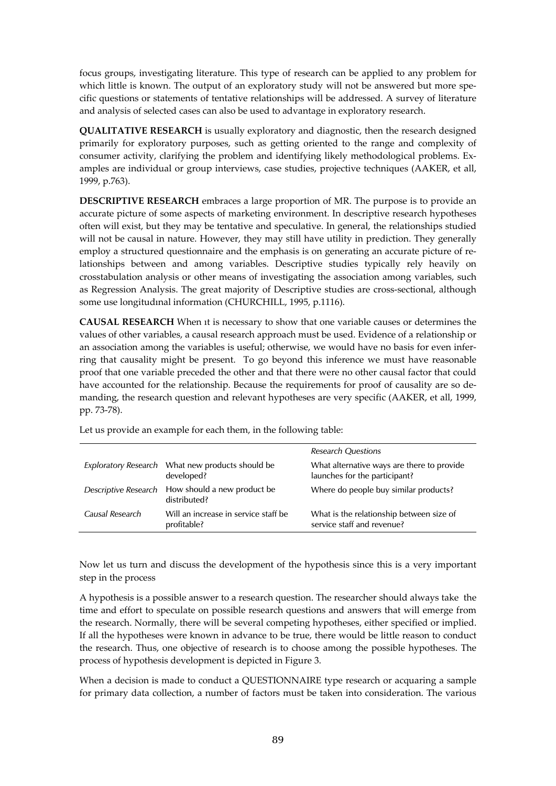focus groups, investigating literature. This type of research can be applied to any problem for which little is known. The output of an exploratory study will not be answered but more specific questions or statements of tentative relationships will be addressed. A survey of literature and analysis of selected cases can also be used to advantage in exploratory research.

**QUALITATIVE RESEARCH** is usually exploratory and diagnostic, then the research designed primarily for exploratory purposes, such as getting oriented to the range and complexity of consumer activity, clarifying the problem and identifying likely methodological problems. Ex‐ amples are individual or group interviews, case studies, projective techniques (AAKER, et all, 1999, p.763).

**DESCRIPTIVE RESEARCH** embraces a large proportion of MR. The purpose is to provide an accurate picture of some aspects of marketing environment. In descriptive research hypotheses often will exist, but they may be tentative and speculative. In general, the relationships studied will not be causal in nature. However, they may still have utility in prediction. They generally employ a structured questionnaire and the emphasis is on generating an accurate picture of relationships between and among variables. Descriptive studies typically rely heavily on crosstabulation analysis or other means of investigating the association among variables, such as Regression Analysis. The great majority of Descriptive studies are cross‐sectional, although some use longitudınal information (CHURCHILL, 1995, p.1116).

**CAUSAL RESEARCH** When ıt is necessary to show that one variable causes or determines the values of other variables, a causal research approach must be used. Evidence of a relationship or an association among the variables is useful; otherwise, we would have no basis for even infer‐ ring that causality might be present. To go beyond this inference we must have reasonable proof that one variable preceded the other and that there were no other causal factor that could have accounted for the relationship. Because the requirements for proof of causality are so de‐ manding, the research question and relevant hypotheses are very specific (AAKER, et all, 1999, pp. 73‐78).

|                 |                                                                  | <b>Research Questions</b>                                                   |
|-----------------|------------------------------------------------------------------|-----------------------------------------------------------------------------|
|                 | Exploratory Research What new products should be<br>developed?   | What alternative ways are there to provide<br>launches for the participant? |
|                 | Descriptive Research How should a new product be<br>distributed? | Where do people buy similar products?                                       |
| Causal Research | Will an increase in service staff be<br>profitable?              | What is the relationship between size of<br>service staff and revenue?      |

Let us provide an example for each them, in the following table:

Now let us turn and discuss the development of the hypothesis since this is a very important step in the process

A hypothesis is a possible answer to a research question. The researcher should always take the time and effort to speculate on possible research questions and answers that will emerge from the research. Normally, there will be several competing hypotheses, either specified or implied. If all the hypotheses were known in advance to be true, there would be little reason to conduct the research. Thus, one objective of research is to choose among the possible hypotheses. The process of hypothesis development is depicted in Figure 3.

When a decision is made to conduct a QUESTIONNAIRE type research or acquaring a sample for primary data collection, a number of factors must be taken into consideration. The various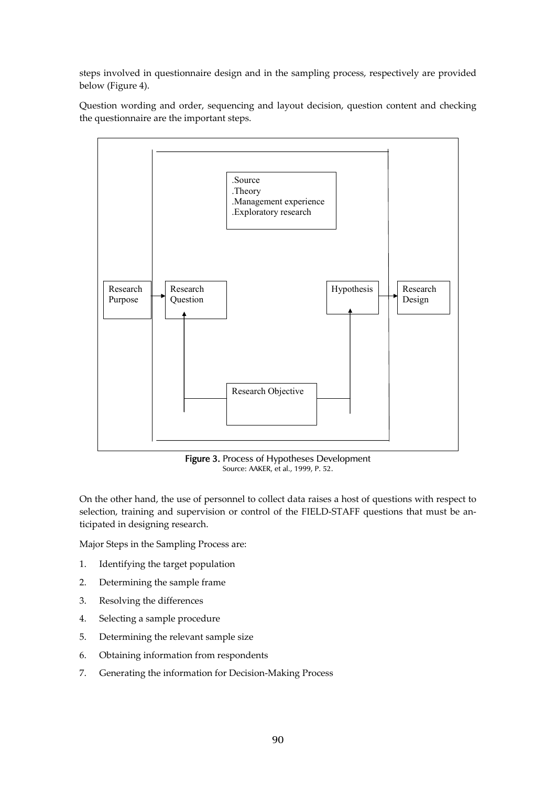steps involved in questionnaire design and in the sampling process, respectively are provided below (Figure 4).

Question wording and order, sequencing and layout decision, question content and checking the questionnaire are the important steps.



Figure 3. Process of Hypotheses Development Source: AAKER, et al., 1999, P. 52.

On the other hand, the use of personnel to collect data raises a host of questions with respect to selection, training and supervision or control of the FIELD-STAFF questions that must be anticipated in designing research.

Major Steps in the Sampling Process are:

- 1. Identifying the target population
- 2. Determining the sample frame
- 3. Resolving the differences
- 4. Selecting a sample procedure
- 5. Determining the relevant sample size
- 6. Obtaining information from respondents
- 7. Generating the information for Decision‐Making Process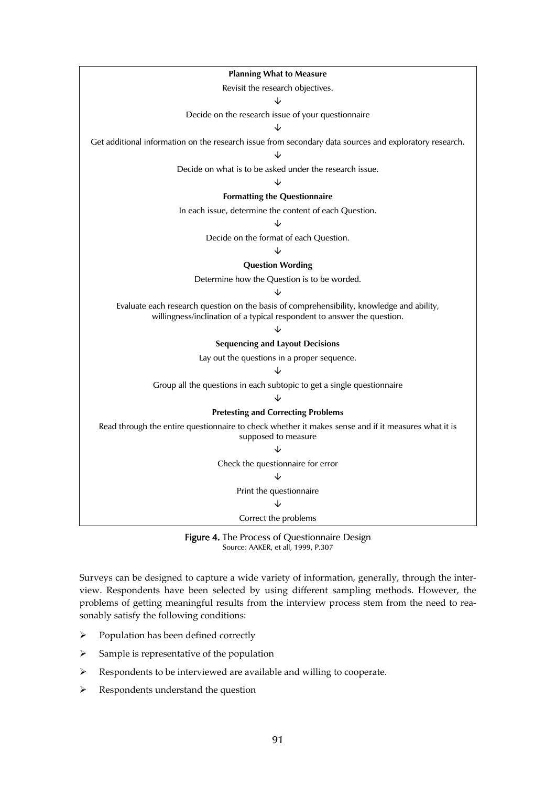| <b>Planning What to Measure</b>                                                                                                                                      |
|----------------------------------------------------------------------------------------------------------------------------------------------------------------------|
| Revisit the research objectives.                                                                                                                                     |
| ↓                                                                                                                                                                    |
| Decide on the research issue of your questionnaire                                                                                                                   |
| J                                                                                                                                                                    |
| Get additional information on the research issue from secondary data sources and exploratory research.                                                               |
|                                                                                                                                                                      |
| Decide on what is to be asked under the research issue.                                                                                                              |
|                                                                                                                                                                      |
| <b>Formatting the Questionnaire</b>                                                                                                                                  |
| In each issue, determine the content of each Question.                                                                                                               |
| ↓                                                                                                                                                                    |
| Decide on the format of each Question.                                                                                                                               |
| J                                                                                                                                                                    |
| <b>Question Wording</b>                                                                                                                                              |
| Determine how the Question is to be worded.                                                                                                                          |
| ↓                                                                                                                                                                    |
| Evaluate each research question on the basis of comprehensibility, knowledge and ability,<br>willingness/inclination of a typical respondent to answer the question. |
|                                                                                                                                                                      |
| <b>Sequencing and Layout Decisions</b>                                                                                                                               |
| Lay out the questions in a proper sequence.                                                                                                                          |
| ↓                                                                                                                                                                    |
| Group all the questions in each subtopic to get a single questionnaire                                                                                               |
| J                                                                                                                                                                    |
| <b>Pretesting and Correcting Problems</b>                                                                                                                            |
| Read through the entire questionnaire to check whether it makes sense and if it measures what it is<br>supposed to measure                                           |
| ↓                                                                                                                                                                    |
| Check the questionnaire for error                                                                                                                                    |
| ↓                                                                                                                                                                    |
| Print the questionnaire                                                                                                                                              |
|                                                                                                                                                                      |
| Correct the problems                                                                                                                                                 |



Surveys can be designed to capture a wide variety of information, generally, through the inter‐ view. Respondents have been selected by using different sampling methods. However, the problems of getting meaningful results from the interview process stem from the need to reasonably satisfy the following conditions:

- ¾ Population has been defined correctly
- $\triangleright$  Sample is representative of the population
- ¾ Respondents to be interviewed are available and willing to cooperate.
- $\triangleright$  Respondents understand the question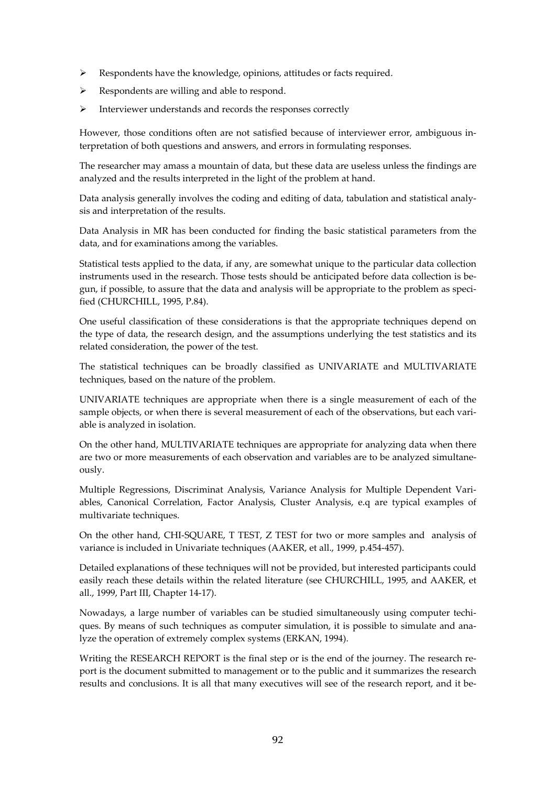- $\triangleright$  Respondents have the knowledge, opinions, attitudes or facts required.
- $\triangleright$  Respondents are willing and able to respond.
- ¾ Interviewer understands and records the responses correctly

However, those conditions often are not satisfied because of interviewer error, ambiguous in‐ terpretation of both questions and answers, and errors in formulating responses.

The researcher may amass a mountain of data, but these data are useless unless the findings are analyzed and the results interpreted in the light of the problem at hand.

Data analysis generally involves the coding and editing of data, tabulation and statistical analy‐ sis and interpretation of the results.

Data Analysis in MR has been conducted for finding the basic statistical parameters from the data, and for examinations among the variables.

Statistical tests applied to the data, if any, are somewhat unique to the particular data collection instruments used in the research. Those tests should be anticipated before data collection is begun, if possible, to assure that the data and analysis will be appropriate to the problem as specified (CHURCHILL, 1995, P.84).

One useful classification of these considerations is that the appropriate techniques depend on the type of data, the research design, and the assumptions underlying the test statistics and its related consideration, the power of the test.

The statistical techniques can be broadly classified as UNIVARIATE and MULTIVARIATE techniques, based on the nature of the problem.

UNIVARIATE techniques are appropriate when there is a single measurement of each of the sample objects, or when there is several measurement of each of the observations, but each variable is analyzed in isolation.

On the other hand, MULTIVARIATE techniques are appropriate for analyzing data when there are two or more measurements of each observation and variables are to be analyzed simultane‐ ously.

Multiple Regressions, Discriminat Analysis, Variance Analysis for Multiple Dependent Vari‐ ables, Canonical Correlation, Factor Analysis, Cluster Analysis, e.q are typical examples of multivariate techniques.

On the other hand, CHI‐SQUARE, T TEST, Z TEST for two or more samples and analysis of variance is included in Univariate techniques (AAKER, et all., 1999, p.454‐457).

Detailed explanations of these techniques will not be provided, but interested participants could easily reach these details within the related literature (see CHURCHILL, 1995, and AAKER, et all., 1999, Part III, Chapter 14‐17).

Nowadays, a large number of variables can be studied simultaneously using computer techi‐ ques. By means of such techniques as computer simulation, it is possible to simulate and ana‐ lyze the operation of extremely complex systems (ERKAN, 1994).

Writing the RESEARCH REPORT is the final step or is the end of the journey. The research report is the document submitted to management or to the public and it summarizes the research results and conclusions. It is all that many executives will see of the research report, and it be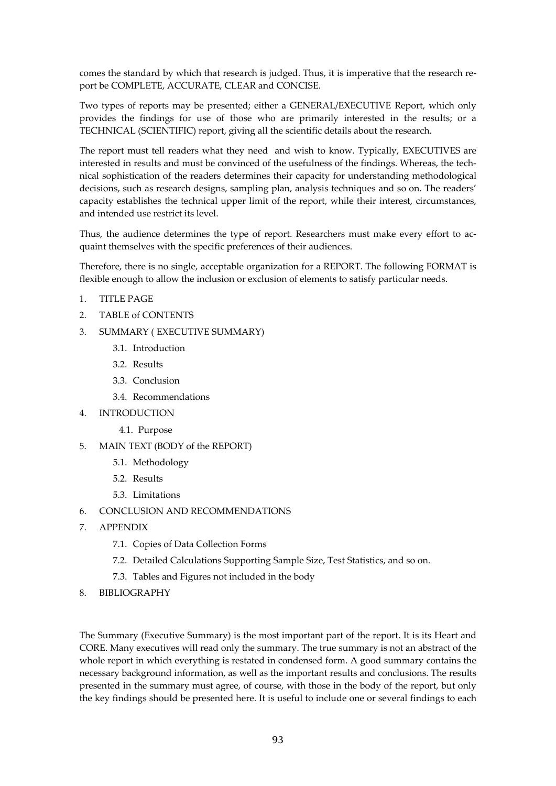comes the standard by which that research is judged. Thus, it is imperative that the research re‐ port be COMPLETE, ACCURATE, CLEAR and CONCISE.

Two types of reports may be presented; either a GENERAL/EXECUTIVE Report, which only provides the findings for use of those who are primarily interested in the results; or a TECHNICAL (SCIENTIFIC) report, giving all the scientific details about the research.

The report must tell readers what they need and wish to know. Typically, EXECUTIVES are interested in results and must be convinced of the usefulness of the findings. Whereas, the technical sophistication of the readers determines their capacity for understanding methodological decisions, such as research designs, sampling plan, analysis techniques and so on. The readers' capacity establishes the technical upper limit of the report, while their interest, circumstances, and intended use restrict its level.

Thus, the audience determines the type of report. Researchers must make every effort to acquaint themselves with the specific preferences of their audiences.

Therefore, there is no single, acceptable organization for a REPORT. The following FORMAT is flexible enough to allow the inclusion or exclusion of elements to satisfy particular needs.

- 1. TITLE PAGE
- 2. TABLE of CONTENTS
- 3. SUMMARY ( EXECUTIVE SUMMARY)
	- 3.1. Introduction
	- 3.2. Results
	- 3.3. Conclusion
	- 3.4. Recommendations
- 4. INTRODUCTION
	- 4.1. Purpose
- 5. MAIN TEXT (BODY of the REPORT)
	- 5.1. Methodology
	- 5.2. Results
	- 5.3. Limitations
- 6. CONCLUSION AND RECOMMENDATIONS
- 7. APPENDIX
	- 7.1. Copies of Data Collection Forms
	- 7.2. Detailed Calculations Supporting Sample Size, Test Statistics, and so on.
	- 7.3. Tables and Figures not included in the body
- 8. BIBLIOGRAPHY

The Summary (Executive Summary) is the most important part of the report. It is its Heart and CORE. Many executives will read only the summary. The true summary is not an abstract of the whole report in which everything is restated in condensed form. A good summary contains the necessary background information, as well as the important results and conclusions. The results presented in the summary must agree, of course, with those in the body of the report, but only the key findings should be presented here. It is useful to include one or several findings to each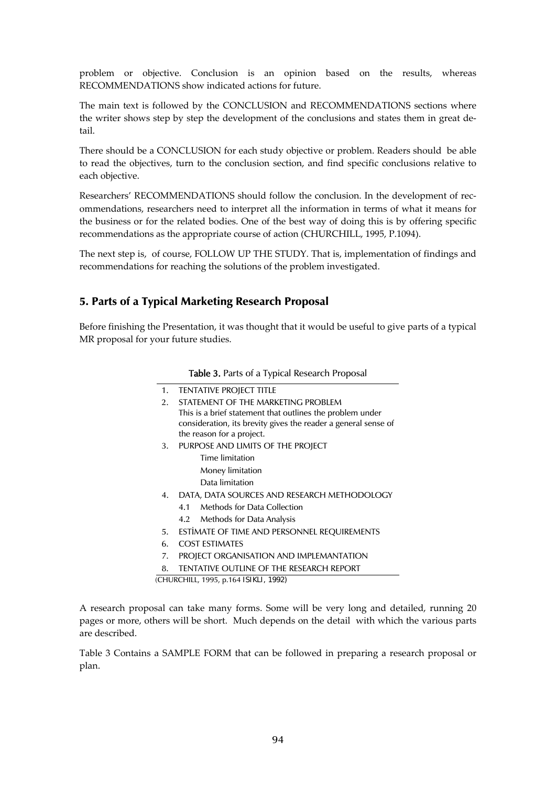problem or objective. Conclusion is an opinion based on the results, whereas RECOMMENDATIONS show indicated actions for future.

The main text is followed by the CONCLUSION and RECOMMENDATIONS sections where the writer shows step by step the development of the conclusions and states them in great de‐ tail.

There should be a CONCLUSION for each study objective or problem. Readers should be able to read the objectives, turn to the conclusion section, and find specific conclusions relative to each objective.

Researchers' RECOMMENDATIONS should follow the conclusion. In the development of rec‐ ommendations, researchers need to interpret all the information in terms of what it means for the business or for the related bodies. One of the best way of doing this is by offering specific recommendations as the appropriate course of action (CHURCHILL, 1995, P.1094).

The next step is, of course, FOLLOW UP THE STUDY. That is, implementation of findings and recommendations for reaching the solutions of the problem investigated.

## 5. Parts of a Typical Marketing Research Proposal

Before finishing the Presentation, it was thought that it would be useful to give parts of a typical MR proposal for your future studies.

| 1. | <b>TENTATIVE PROJECT TITLE</b>                                 |
|----|----------------------------------------------------------------|
| 2. | STATEMENT OF THE MARKETING PROBLEM                             |
|    | This is a brief statement that outlines the problem under      |
|    | consideration, its brevity gives the reader a general sense of |
|    | the reason for a project.                                      |
| 3. | PURPOSE AND LIMITS OF THE PROJECT                              |
|    | <b>Time limitation</b>                                         |
|    | Money limitation                                               |
|    | Data limitation                                                |
| 4. | DATA, DATA SOURCES AND RESEARCH METHODOLOGY                    |
|    | Methods for Data Collection<br>4.1                             |
|    | Methods for Data Analysis<br>4.2                               |
| 5. | ESTIMATE OF TIME AND PERSONNEL REQUIREMENTS                    |
| 6. | <b>COST ESTIMATES</b>                                          |
| 7. | PROJECT ORGANISATION AND IMPLEMANTATION                        |
| 8. | TENTATIVE OUTHNE OF THE RESEARCH REPORT                        |
|    |                                                                |

(CHURCHILL, 1995, p.164 ISIKLI, 1992)

A research proposal can take many forms. Some will be very long and detailed, running 20 pages or more, others will be short. Much depends on the detail with which the various parts are described.

Table 3 Contains a SAMPLE FORM that can be followed in preparing a research proposal or plan.